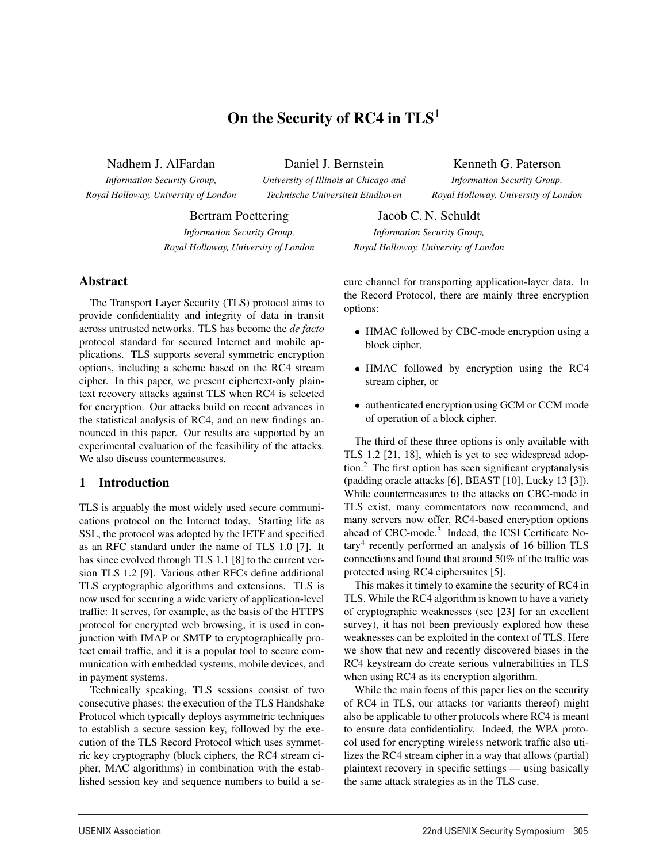# On the Security of RC4 in  $TLS<sup>1</sup>$

Nadhem J. AlFardan

*Information Security Group, Royal Holloway, University of London* Daniel J. Bernstein

*University of Illinois at Chicago and Technische Universiteit Eindhoven*

1

Kenneth G. Paterson *Information Security Group, Royal Holloway, University of London*

Bertram Poettering

*Information Security Group, Royal Holloway, University of London*

Abstract

The Transport Layer Security (TLS) protocol aims to provide confidentiality and integrity of data in transit across untrusted networks. TLS has become the *de facto* protocol standard for secured Internet and mobile applications. TLS supports several symmetric encryption options, including a scheme based on the RC4 stream cipher. In this paper, we present ciphertext-only plaintext recovery attacks against TLS when RC4 is selected for encryption. Our attacks build on recent advances in the statistical analysis of RC4, and on new findings announced in this paper. Our results are supported by an experimental evaluation of the feasibility of the attacks. We also discuss countermeasures.

### 1 Introduction

TLS is arguably the most widely used secure communications protocol on the Internet today. Starting life as SSL, the protocol was adopted by the IETF and specified as an RFC standard under the name of TLS 1.0 [7]. It has since evolved through TLS 1.1 [8] to the current version TLS 1.2 [9]. Various other RFCs define additional TLS cryptographic algorithms and extensions. TLS is now used for securing a wide variety of application-level traffic: It serves, for example, as the basis of the HTTPS protocol for encrypted web browsing, it is used in conjunction with IMAP or SMTP to cryptographically protect email traffic, and it is a popular tool to secure communication with embedded systems, mobile devices, and in payment systems.

Technically speaking, TLS sessions consist of two consecutive phases: the execution of the TLS Handshake Protocol which typically deploys asymmetric techniques to establish a secure session key, followed by the execution of the TLS Record Protocol which uses symmetric key cryptography (block ciphers, the RC4 stream cipher, MAC algorithms) in combination with the established session key and sequence numbers to build a se-

Jacob C. N. Schuldt *Information Security Group, Royal Holloway, University of London*

cure channel for transporting application-layer data. In the Record Protocol, there are mainly three encryption options:

- HMAC followed by CBC-mode encryption using a block cipher,
- HMAC followed by encryption using the RC4 stream cipher, or
- authenticated encryption using GCM or CCM mode of operation of a block cipher.

The third of these three options is only available with TLS 1.2 [21, 18], which is yet to see widespread adoption.<sup>2</sup> The first option has seen significant cryptanalysis (padding oracle attacks [6], BEAST [10], Lucky 13 [3]). While countermeasures to the attacks on CBC-mode in TLS exist, many commentators now recommend, and many servers now offer, RC4-based encryption options ahead of CBC-mode.<sup>3</sup> Indeed, the ICSI Certificate No $tary<sup>4</sup>$  recently performed an analysis of 16 billion TLS connections and found that around 50% of the traffic was protected using RC4 ciphersuites [5].

This makes it timely to examine the security of RC4 in TLS. While the RC4 algorithm is known to have a variety of cryptographic weaknesses (see [23] for an excellent survey), it has not been previously explored how these weaknesses can be exploited in the context of TLS. Here we show that new and recently discovered biases in the RC4 keystream do create serious vulnerabilities in TLS when using RC4 as its encryption algorithm.

While the main focus of this paper lies on the security of RC4 in TLS, our attacks (or variants thereof) might also be applicable to other protocols where RC4 is meant to ensure data confidentiality. Indeed, the WPA protocol used for encrypting wireless network traffic also utilizes the RC4 stream cipher in a way that allows (partial) plaintext recovery in specific settings — using basically the same attack strategies as in the TLS case.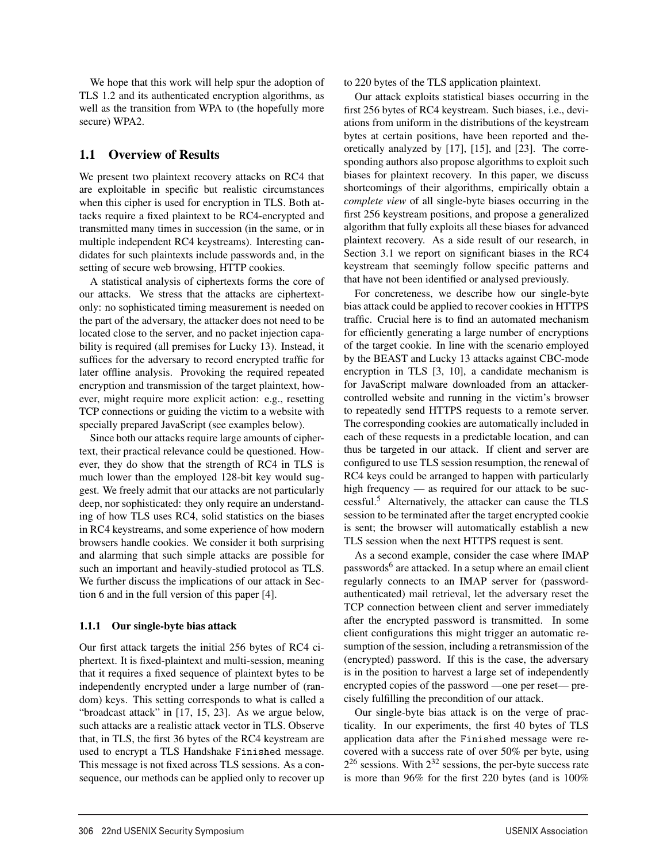We hope that this work will help spur the adoption of TLS 1.2 and its authenticated encryption algorithms, as well as the transition from WPA to (the hopefully more secure) WPA2.

### 1.1 Overview of Results

We present two plaintext recovery attacks on RC4 that are exploitable in specific but realistic circumstances when this cipher is used for encryption in TLS. Both attacks require a fixed plaintext to be RC4-encrypted and transmitted many times in succession (in the same, or in multiple independent RC4 keystreams). Interesting candidates for such plaintexts include passwords and, in the setting of secure web browsing, HTTP cookies.

A statistical analysis of ciphertexts forms the core of our attacks. We stress that the attacks are ciphertextonly: no sophisticated timing measurement is needed on the part of the adversary, the attacker does not need to be located close to the server, and no packet injection capability is required (all premises for Lucky 13). Instead, it suffices for the adversary to record encrypted traffic for later offline analysis. Provoking the required repeated encryption and transmission of the target plaintext, however, might require more explicit action: e.g., resetting TCP connections or guiding the victim to a website with specially prepared JavaScript (see examples below).

Since both our attacks require large amounts of ciphertext, their practical relevance could be questioned. However, they do show that the strength of RC4 in TLS is much lower than the employed 128-bit key would suggest. We freely admit that our attacks are not particularly deep, nor sophisticated: they only require an understanding of how TLS uses RC4, solid statistics on the biases in RC4 keystreams, and some experience of how modern browsers handle cookies. We consider it both surprising and alarming that such simple attacks are possible for such an important and heavily-studied protocol as TLS. We further discuss the implications of our attack in Section 6 and in the full version of this paper [4].

### 1.1.1 Our single-byte bias attack

Our first attack targets the initial 256 bytes of RC4 ciphertext. It is fixed-plaintext and multi-session, meaning that it requires a fixed sequence of plaintext bytes to be independently encrypted under a large number of (random) keys. This setting corresponds to what is called a "broadcast attack" in [17, 15, 23]. As we argue below, such attacks are a realistic attack vector in TLS. Observe that, in TLS, the first 36 bytes of the RC4 keystream are used to encrypt a TLS Handshake Finished message. This message is not fixed across TLS sessions. As a consequence, our methods can be applied only to recover up

to 220 bytes of the TLS application plaintext.

Our attack exploits statistical biases occurring in the first 256 bytes of RC4 keystream. Such biases, i.e., deviations from uniform in the distributions of the keystream bytes at certain positions, have been reported and theoretically analyzed by [17], [15], and [23]. The corresponding authors also propose algorithms to exploit such biases for plaintext recovery. In this paper, we discuss shortcomings of their algorithms, empirically obtain a *complete view* of all single-byte biases occurring in the first 256 keystream positions, and propose a generalized algorithm that fully exploits all these biases for advanced plaintext recovery. As a side result of our research, in Section 3.1 we report on significant biases in the RC4 keystream that seemingly follow specific patterns and that have not been identified or analysed previously.

For concreteness, we describe how our single-byte bias attack could be applied to recover cookies in HTTPS traffic. Crucial here is to find an automated mechanism for efficiently generating a large number of encryptions of the target cookie. In line with the scenario employed by the BEAST and Lucky 13 attacks against CBC-mode encryption in TLS [3, 10], a candidate mechanism is for JavaScript malware downloaded from an attackercontrolled website and running in the victim's browser to repeatedly send HTTPS requests to a remote server. The corresponding cookies are automatically included in each of these requests in a predictable location, and can thus be targeted in our attack. If client and server are configured to use TLS session resumption, the renewal of RC4 keys could be arranged to happen with particularly high frequency — as required for our attack to be successful.<sup>5</sup> Alternatively, the attacker can cause the TLS session to be terminated after the target encrypted cookie is sent; the browser will automatically establish a new TLS session when the next HTTPS request is sent.

As a second example, consider the case where IMAP passwords<sup>6</sup> are attacked. In a setup where an email client regularly connects to an IMAP server for (passwordauthenticated) mail retrieval, let the adversary reset the TCP connection between client and server immediately after the encrypted password is transmitted. In some client configurations this might trigger an automatic resumption of the session, including a retransmission of the (encrypted) password. If this is the case, the adversary is in the position to harvest a large set of independently encrypted copies of the password —one per reset— precisely fulfilling the precondition of our attack.

Our single-byte bias attack is on the verge of practicality. In our experiments, the first 40 bytes of TLS application data after the Finished message were recovered with a success rate of over 50% per byte, using  $2^{26}$  sessions. With  $2^{32}$  sessions, the per-byte success rate is more than 96% for the first 220 bytes (and is 100%

2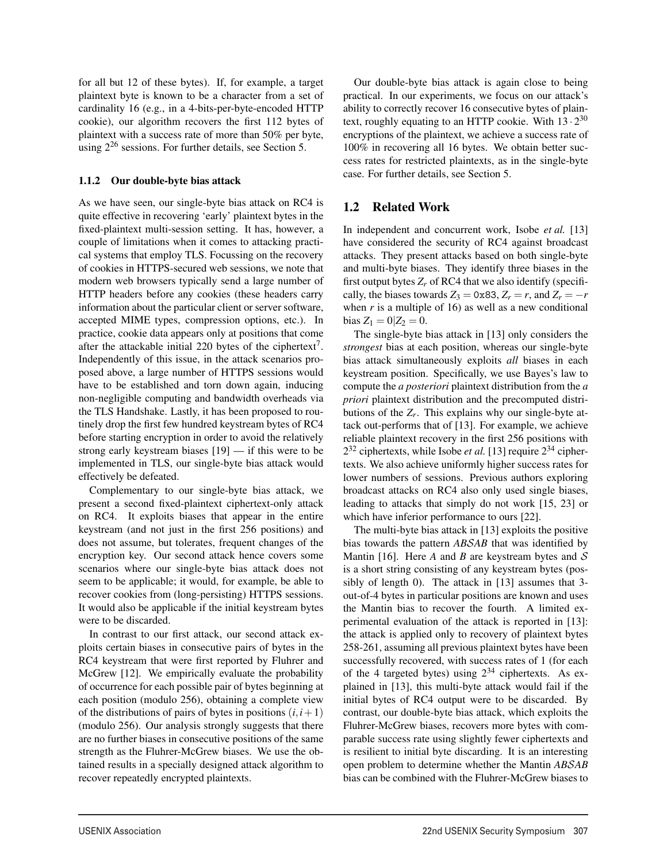for all but 12 of these bytes). If, for example, a target plaintext byte is known to be a character from a set of cardinality 16 (e.g., in a 4-bits-per-byte-encoded HTTP cookie), our algorithm recovers the first 112 bytes of plaintext with a success rate of more than 50% per byte, using  $2^{26}$  sessions. For further details, see Section 5.

### 1.1.2 Our double-byte bias attack

As we have seen, our single-byte bias attack on RC4 is quite effective in recovering 'early' plaintext bytes in the fixed-plaintext multi-session setting. It has, however, a couple of limitations when it comes to attacking practical systems that employ TLS. Focussing on the recovery of cookies in HTTPS-secured web sessions, we note that modern web browsers typically send a large number of HTTP headers before any cookies (these headers carry information about the particular client or server software, accepted MIME types, compression options, etc.). In practice, cookie data appears only at positions that come after the attackable initial 220 bytes of the ciphertext<sup>7</sup>. Independently of this issue, in the attack scenarios proposed above, a large number of HTTPS sessions would have to be established and torn down again, inducing non-negligible computing and bandwidth overheads via the TLS Handshake. Lastly, it has been proposed to routinely drop the first few hundred keystream bytes of RC4 before starting encryption in order to avoid the relatively strong early keystream biases [19] — if this were to be implemented in TLS, our single-byte bias attack would effectively be defeated.

Complementary to our single-byte bias attack, we present a second fixed-plaintext ciphertext-only attack on RC4. It exploits biases that appear in the entire keystream (and not just in the first 256 positions) and does not assume, but tolerates, frequent changes of the encryption key. Our second attack hence covers some scenarios where our single-byte bias attack does not seem to be applicable; it would, for example, be able to recover cookies from (long-persisting) HTTPS sessions. It would also be applicable if the initial keystream bytes were to be discarded.

In contrast to our first attack, our second attack exploits certain biases in consecutive pairs of bytes in the RC4 keystream that were first reported by Fluhrer and McGrew [12]. We empirically evaluate the probability of occurrence for each possible pair of bytes beginning at each position (modulo 256), obtaining a complete view of the distributions of pairs of bytes in positions  $(i, i+1)$ (modulo 256). Our analysis strongly suggests that there are no further biases in consecutive positions of the same strength as the Fluhrer-McGrew biases. We use the obtained results in a specially designed attack algorithm to recover repeatedly encrypted plaintexts.

3

Our double-byte bias attack is again close to being practical. In our experiments, we focus on our attack's ability to correctly recover 16 consecutive bytes of plaintext, roughly equating to an HTTP cookie. With  $13 \cdot 2^{30}$ encryptions of the plaintext, we achieve a success rate of 100% in recovering all 16 bytes. We obtain better success rates for restricted plaintexts, as in the single-byte case. For further details, see Section 5.

# 1.2 Related Work

In independent and concurrent work, Isobe *et al.* [13] have considered the security of RC4 against broadcast attacks. They present attacks based on both single-byte and multi-byte biases. They identify three biases in the first output bytes  $Z_r$  of RC4 that we also identify (specifically, the biases towards  $Z_3 = 0 \times 83$ ,  $Z_r = r$ , and  $Z_r = -r$ when  $r$  is a multiple of 16) as well as a new conditional  $bias Z_1 = 0 | Z_2 = 0.$ 

The single-byte bias attack in [13] only considers the *strongest* bias at each position, whereas our single-byte bias attack simultaneously exploits *all* biases in each keystream position. Specifically, we use Bayes's law to compute the *a posteriori* plaintext distribution from the *a priori* plaintext distribution and the precomputed distributions of the  $Z_r$ . This explains why our single-byte attack out-performs that of [13]. For example, we achieve reliable plaintext recovery in the first 256 positions with  $2^{32}$  ciphertexts, while Isobe *et al.* [13] require  $2^{34}$  ciphertexts. We also achieve uniformly higher success rates for lower numbers of sessions. Previous authors exploring broadcast attacks on RC4 also only used single biases, leading to attacks that simply do not work [15, 23] or which have inferior performance to ours [22].

The multi-byte bias attack in [13] exploits the positive bias towards the pattern *AB*S*AB* that was identified by Mantin [16]. Here  $A$  and  $B$  are keystream bytes and  $S$ is a short string consisting of any keystream bytes (possibly of length 0). The attack in [13] assumes that 3 out-of-4 bytes in particular positions are known and uses the Mantin bias to recover the fourth. A limited experimental evaluation of the attack is reported in [13]: the attack is applied only to recovery of plaintext bytes 258-261, assuming all previous plaintext bytes have been successfully recovered, with success rates of 1 (for each of the 4 targeted bytes) using  $2^{34}$  ciphertexts. As explained in [13], this multi-byte attack would fail if the initial bytes of RC4 output were to be discarded. By contrast, our double-byte bias attack, which exploits the Fluhrer-McGrew biases, recovers more bytes with comparable success rate using slightly fewer ciphertexts and is resilient to initial byte discarding. It is an interesting open problem to determine whether the Mantin *AB*S*AB* bias can be combined with the Fluhrer-McGrew biases to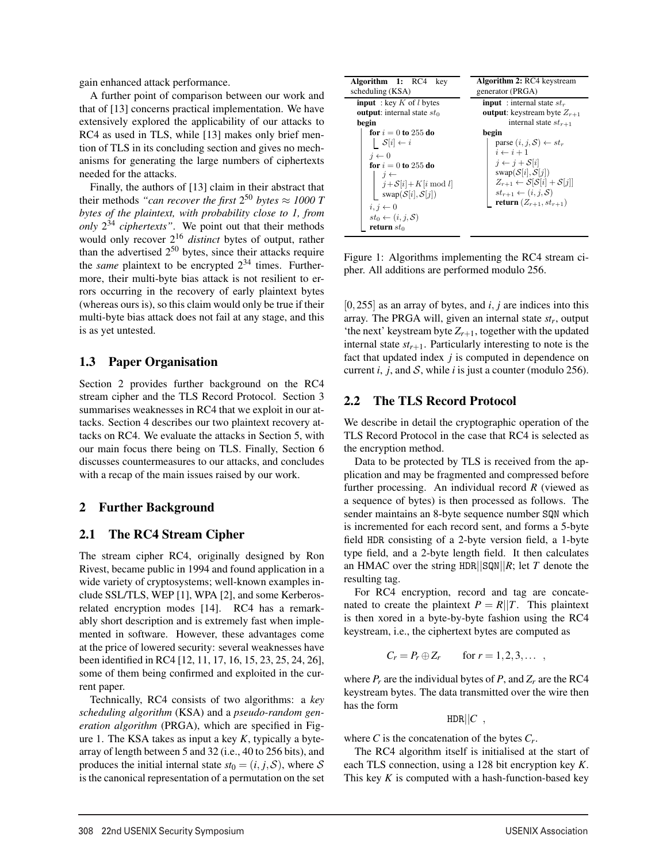gain enhanced attack performance.

A further point of comparison between our work and that of [13] concerns practical implementation. We have extensively explored the applicability of our attacks to RC4 as used in TLS, while [13] makes only brief mention of TLS in its concluding section and gives no mechanisms for generating the large numbers of ciphertexts needed for the attacks.

Finally, the authors of [13] claim in their abstract that their methods *"can recover the first*  $2^{50}$  *bytes*  $\approx 1000$  *T bytes of the plaintext, with probability close to 1, from only* 2<sup>34</sup> *ciphertexts"*. We point out that their methods would only recover 216 *distinct* bytes of output, rather than the advertised  $2^{50}$  bytes, since their attacks require the *same* plaintext to be encrypted  $2^{34}$  times. Furthermore, their multi-byte bias attack is not resilient to errors occurring in the recovery of early plaintext bytes (whereas ours is), so this claim would only be true if their multi-byte bias attack does not fail at any stage, and this is as yet untested.

### 1.3 Paper Organisation

Section 2 provides further background on the RC4 stream cipher and the TLS Record Protocol. Section 3 summarises weaknesses in RC4 that we exploit in our attacks. Section 4 describes our two plaintext recovery attacks on RC4. We evaluate the attacks in Section 5, with our main focus there being on TLS. Finally, Section 6 discusses countermeasures to our attacks, and concludes with a recap of the main issues raised by our work.

### 2 Further Background

### 2.1 The RC4 Stream Cipher

The stream cipher RC4, originally designed by Ron Rivest, became public in 1994 and found application in a wide variety of cryptosystems; well-known examples include SSL/TLS, WEP [1], WPA [2], and some Kerberosrelated encryption modes [14]. RC4 has a remarkably short description and is extremely fast when implemented in software. However, these advantages come at the price of lowered security: several weaknesses have been identified in RC4 [12, 11, 17, 16, 15, 23, 25, 24, 26], some of them being confirmed and exploited in the current paper.

Technically, RC4 consists of two algorithms: a *key scheduling algorithm* (KSA) and a *pseudo-random generation algorithm* (PRGA), which are specified in Figure 1. The KSA takes as input a key *K*, typically a bytearray of length between 5 and 32 (i.e., 40 to 256 bits), and produces the initial internal state  $st_0 = (i, j, S)$ , where S is the canonical representation of a permutation on the set

| <b>Algorithm 1: RC4</b> key<br>scheduling (KSA) | <b>Algorithm 2: RC4</b> keystream<br>generator (PRGA)             |  |
|-------------------------------------------------|-------------------------------------------------------------------|--|
| <b>input</b> : key K of l bytes                 | <b>input</b> : internal state $st_r$                              |  |
| <b>output:</b> internal state $st_0$            | <b>output</b> : keystream byte $Z_{r+1}$                          |  |
| begin                                           | internal state $st_{r+1}$                                         |  |
| for $i = 0$ to 255 do                           | begin                                                             |  |
| $\mathcal{S}[i] \leftarrow i$                   | parse $(i, j, S) \leftarrow st_r$                                 |  |
| $i \leftarrow 0$                                | $i \leftarrow i + 1$                                              |  |
| for $i = 0$ to 255 do                           | $i \leftarrow j + \mathcal{S}[i]$                                 |  |
| $j \leftarrow$                                  | $swap(\mathcal{S}[i], \mathcal{S}[j])$                            |  |
| $j + S[i] + K[i \mod l]$                        | $Z_{r+1} \leftarrow \mathcal{S}[\mathcal{S}[i] + \mathcal{S}[j]]$ |  |
| swap $(S[i], S[j])$                             | $st_{r+1} \leftarrow (i, j, \mathcal{S})$                         |  |
| $i, j \leftarrow 0$                             | return $(Z_{r+1}, st_{r+1})$                                      |  |
|                                                 |                                                                   |  |
| $st_0 \leftarrow (i, j, \mathcal{S})$           |                                                                   |  |
| return $st_0$                                   |                                                                   |  |

Figure 1: Algorithms implementing the RC4 stream cipher. All additions are performed modulo 256.

[0,255] as an array of bytes, and *i*, *j* are indices into this array. The PRGA will, given an internal state *str*, output 'the next' keystream byte  $Z_{r+1}$ , together with the updated internal state  $st_{r+1}$ . Particularly interesting to note is the fact that updated index *j* is computed in dependence on current  $i$ ,  $j$ , and  $S$ , while  $i$  is just a counter (modulo 256).

### 2.2 The TLS Record Protocol

We describe in detail the cryptographic operation of the TLS Record Protocol in the case that RC4 is selected as the encryption method.

Data to be protected by TLS is received from the application and may be fragmented and compressed before further processing. An individual record *R* (viewed as a sequence of bytes) is then processed as follows. The sender maintains an 8-byte sequence number SQN which is incremented for each record sent, and forms a 5-byte field HDR consisting of a 2-byte version field, a 1-byte type field, and a 2-byte length field. It then calculates an HMAC over the string HDR||SQN||*R*; let *T* denote the resulting tag.

For RC4 encryption, record and tag are concatenated to create the plaintext  $P = R||T$ . This plaintext is then xored in a byte-by-byte fashion using the RC4 keystream, i.e., the ciphertext bytes are computed as

$$
C_r = P_r \oplus Z_r \qquad \text{for } r = 1, 2, 3, \dots ,
$$

where  $P_r$  are the individual bytes of  $P$ , and  $Z_r$  are the RC4 keystream bytes. The data transmitted over the wire then has the form

$$
\text{HDR}||C\ ,
$$

where  $C$  is the concatenation of the bytes  $C_r$ .

4

The RC4 algorithm itself is initialised at the start of each TLS connection, using a 128 bit encryption key *K*. This key  $K$  is computed with a hash-function-based key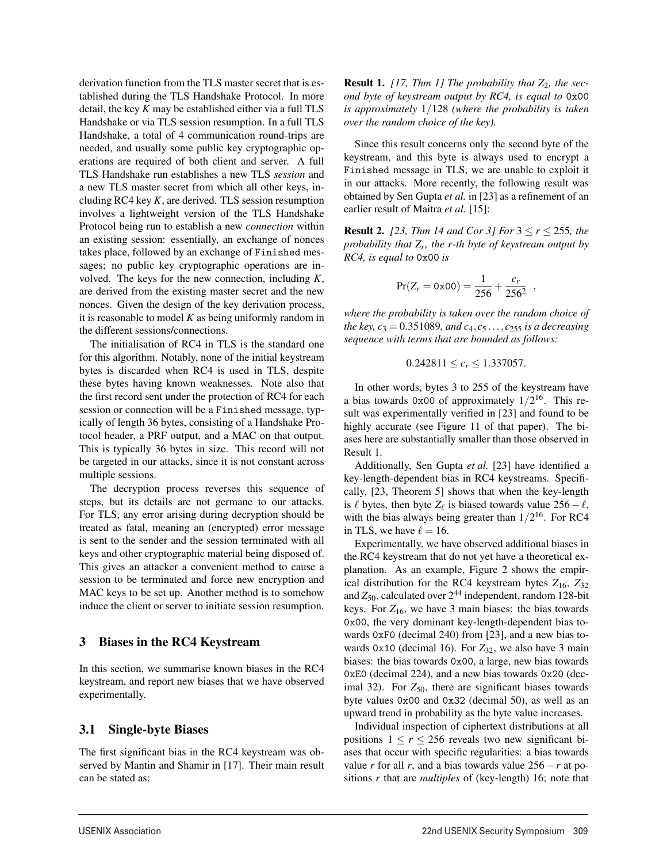derivation function from the TLS master secret that is established during the TLS Handshake Protocol. In more detail, the key *K* may be established either via a full TLS Handshake or via TLS session resumption. In a full TLS Handshake, a total of 4 communication round-trips are needed, and usually some public key cryptographic operations are required of both client and server. A full TLS Handshake run establishes a new TLS *session* and a new TLS master secret from which all other keys, including RC4 key *K*, are derived. TLS session resumption involves a lightweight version of the TLS Handshake Protocol being run to establish a new *connection* within an existing session: essentially, an exchange of nonces takes place, followed by an exchange of Finished messages; no public key cryptographic operations are involved. The keys for the new connection, including *K*, are derived from the existing master secret and the new nonces. Given the design of the key derivation process, it is reasonable to model *K* as being uniformly random in the different sessions/connections.

The initialisation of RC4 in TLS is the standard one for this algorithm. Notably, none of the initial keystream bytes is discarded when RC4 is used in TLS, despite these bytes having known weaknesses. Note also that the first record sent under the protection of RC4 for each session or connection will be a Finished message, typically of length 36 bytes, consisting of a Handshake Protocol header, a PRF output, and a MAC on that output. This is typically 36 bytes in size. This record will not be targeted in our attacks, since it is not constant across multiple sessions.

The decryption process reverses this sequence of steps, but its details are not germane to our attacks. For TLS, any error arising during decryption should be treated as fatal, meaning an (encrypted) error message is sent to the sender and the session terminated with all keys and other cryptographic material being disposed of. This gives an attacker a convenient method to cause a session to be terminated and force new encryption and MAC keys to be set up. Another method is to somehow induce the client or server to initiate session resumption.

### 3 Biases in the RC4 Keystream

In this section, we summarise known biases in the RC4 keystream, and report new biases that we have observed experimentally.

### 3.1 Single-byte Biases

The first significant bias in the RC4 keystream was observed by Mantin and Shamir in [17]. Their main result can be stated as:

5

**Result 1.** [17, Thm 1] The probability that  $Z_2$ , the sec*ond byte of keystream output by RC4, is equal to* 0x00 *is approximately* 1/128 *(where the probability is taken over the random choice of the key).*

Since this result concerns only the second byte of the keystream, and this byte is always used to encrypt a Finished message in TLS, we are unable to exploit it in our attacks. More recently, the following result was obtained by Sen Gupta *et al.* in [23] as a refinement of an earlier result of Maitra *et al.* [15]:

**Result 2.** [23, Thm 14 and Cor 3] For  $3 \le r \le 255$ , the *probability that Zr, the r-th byte of keystream output by RC4, is equal to* 0x00 *is*

$$
Pr(Z_r = 0x00) = \frac{1}{256} + \frac{c_r}{256^2} ,
$$

*where the probability is taken over the random choice of the key, c*<sub>3</sub> = 0.351089*, and c*<sub>4</sub>*, c*<sub>5</sub> ...*, c*<sub>255</sub> *is a decreasing sequence with terms that are bounded as follows:*

$$
0.242811 \le c_r \le 1.337057.
$$

In other words, bytes 3 to 255 of the keystream have a bias towards 0x00 of approximately  $1/2^{16}$ . This result was experimentally verified in [23] and found to be highly accurate (see Figure 11 of that paper). The biases here are substantially smaller than those observed in Result 1.

Additionally, Sen Gupta *et al.* [23] have identified a key-length-dependent bias in RC4 keystreams. Specifically, [23, Theorem 5] shows that when the key-length is  $\ell$  bytes, then byte  $Z_{\ell}$  is biased towards value  $256 - \ell$ , with the bias always being greater than  $1/2^{16}$ . For RC4 in TLS, we have  $\ell = 16$ .

Experimentally, we have observed additional biases in the RC4 keystream that do not yet have a theoretical explanation. As an example, Figure 2 shows the empirical distribution for the RC4 keystream bytes  $Z_{16}$ ,  $Z_{32}$ and  $Z_{50}$ , calculated over  $2^{44}$  independent, random 128-bit keys. For  $Z_{16}$ , we have 3 main biases: the bias towards 0x00, the very dominant key-length-dependent bias towards 0xF0 (decimal 240) from [23], and a new bias towards  $0x10$  (decimal 16). For  $Z_{32}$ , we also have 3 main biases: the bias towards 0x00, a large, new bias towards 0xE0 (decimal 224), and a new bias towards 0x20 (decimal 32). For  $Z_{50}$ , there are significant biases towards byte values 0x00 and 0x32 (decimal 50), as well as an upward trend in probability as the byte value increases.

Individual inspection of ciphertext distributions at all positions  $1 \le r \le 256$  reveals two new significant biases that occur with specific regularities: a bias towards value *r* for all *r*, and a bias towards value  $256 - r$  at positions *r* that are *multiples* of (key-length) 16; note that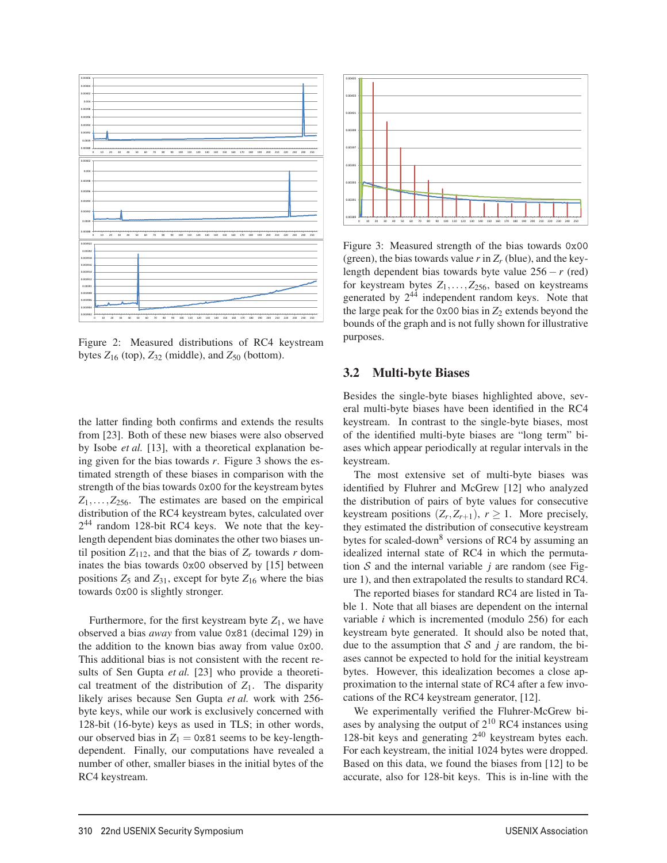

Figure 2: Measured distributions of RC4 keystream bytes  $Z_{16}$  (top),  $Z_{32}$  (middle), and  $Z_{50}$  (bottom).

the latter finding both confirms and extends the results from [23]. Both of these new biases were also observed by Isobe *et al.* [13], with a theoretical explanation being given for the bias towards *r*. Figure 3 shows the estimated strength of these biases in comparison with the strength of the bias towards 0x00 for the keystream bytes  $Z_1, \ldots, Z_{256}$ . The estimates are based on the empirical distribution of the RC4 keystream bytes, calculated over  $2^{44}$  random 128-bit RC4 keys. We note that the keylength dependent bias dominates the other two biases until position  $Z_{112}$ , and that the bias of  $Z_r$  towards r dominates the bias towards 0x00 observed by [15] between positions  $Z_5$  and  $Z_{31}$ , except for byte  $Z_{16}$  where the bias towards 0x00 is slightly stronger.

Furthermore, for the first keystream byte  $Z_1$ , we have observed a bias *away* from value 0x81 (decimal 129) in the addition to the known bias away from value 0x00. This additional bias is not consistent with the recent results of Sen Gupta *et al.* [23] who provide a theoretical treatment of the distribution of  $Z_1$ . The disparity likely arises because Sen Gupta *et al.* work with 256 byte keys, while our work is exclusively concerned with 128-bit (16-byte) keys as used in TLS; in other words, our observed bias in  $Z_1 = 0 \times 81$  seems to be key-lengthdependent. Finally, our computations have revealed a number of other, smaller biases in the initial bytes of the RC4 keystream.



Figure 3: Measured strength of the bias towards 0x00 (green), the bias towards value  $r$  in  $Z_r$  (blue), and the keylength dependent bias towards byte value 256 − *r* (red) for keystream bytes  $Z_1, \ldots, Z_{256}$ , based on keystreams generated by  $2^{44}$  independent random keys. Note that the large peak for the 0x00 bias in  $Z_2$  extends beyond the bounds of the graph and is not fully shown for illustrative purposes.

#### 3.2 Multi-byte Biases

Besides the single-byte biases highlighted above, several multi-byte biases have been identified in the RC4 keystream. In contrast to the single-byte biases, most of the identified multi-byte biases are "long term" biases which appear periodically at regular intervals in the keystream.

The most extensive set of multi-byte biases was identified by Fluhrer and McGrew [12] who analyzed the distribution of pairs of byte values for consecutive keystream positions  $(Z_r, Z_{r+1}), r \ge 1$ . More precisely, they estimated the distribution of consecutive keystream bytes for scaled-down<sup>8</sup> versions of RC4 by assuming an idealized internal state of RC4 in which the permutation  $S$  and the internal variable *j* are random (see Figure 1), and then extrapolated the results to standard RC4.

The reported biases for standard RC4 are listed in Table 1. Note that all biases are dependent on the internal variable *i* which is incremented (modulo 256) for each keystream byte generated. It should also be noted that, due to the assumption that  $S$  and  $j$  are random, the biases cannot be expected to hold for the initial keystream bytes. However, this idealization becomes a close approximation to the internal state of RC4 after a few invocations of the RC4 keystream generator, [12].

We experimentally verified the Fluhrer-McGrew biases by analysing the output of  $2^{10}$  RC4 instances using 128-bit keys and generating  $2^{40}$  keystream bytes each. For each keystream, the initial 1024 bytes were dropped. Based on this data, we found the biases from [12] to be accurate, also for 128-bit keys. This is in-line with the

6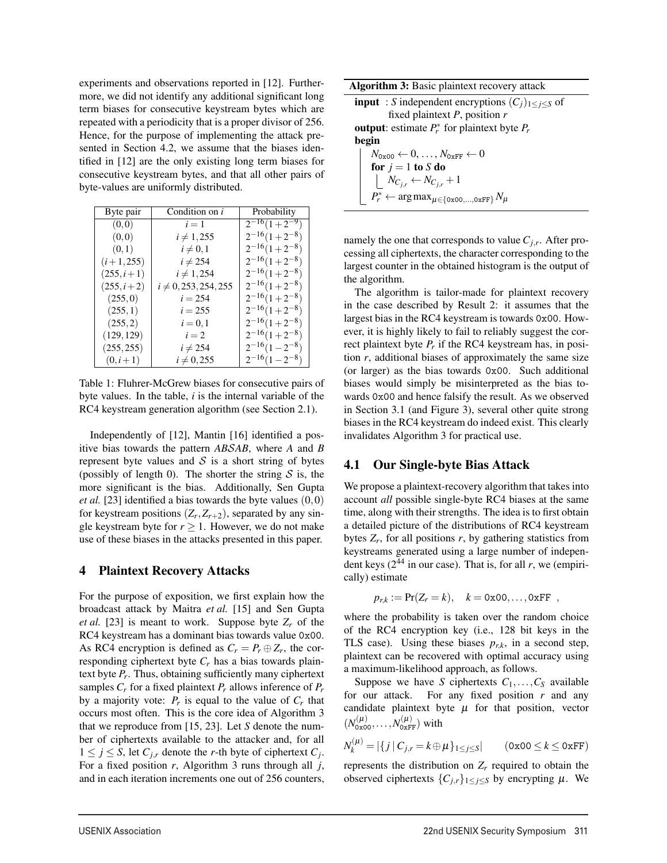experiments and observations reported in [12]. Furthermore, we did not identify any additional significant long term biases for consecutive keystream bytes which are repeated with a periodicity that is a proper divisor of 256. Hence, for the purpose of implementing the attack presented in Section 4.2, we assume that the biases identified in [12] are the only existing long term biases for consecutive keystream bytes, and that all other pairs of byte-values are uniformly distributed.

| Byte pair      | Condition on i            | Probability         |
|----------------|---------------------------|---------------------|
| (0,0)          | $i=1$                     | $2^{-16}(1+2^{-9})$ |
| (0,0)          | $i \neq 1,255$            | $2^{-16}(1+2^{-8})$ |
| (0,1)          | $i \neq 0,1$              | $2^{-16}(1+2^{-8})$ |
| $(i+1,255)$    | $i \neq 254$              | $2^{-16}(1+2^{-8})$ |
| $(255, i+1)$   | $i \neq 1,254$            | $2^{-16}(1+2^{-8})$ |
| $(255, i + 2)$ | $i \neq 0, 253, 254, 255$ | $2^{-16}(1+2^{-8})$ |
| (255,0)        | $i = 254$                 | $2^{-16}(1+2^{-8})$ |
| (255,1)        | $i = 255$                 | $2^{-16}(1+2^{-8})$ |
| (255, 2)       | $i = 0, 1$                | $2^{-16}(1+2^{-8})$ |
| (129, 129)     | $i=2$                     | $2^{-16}(1+2^{-8})$ |
| (255, 255)     | $i \neq 254$              | $2^{-16}(1-2^{-8})$ |
| $(0, i+1)$     | $i \neq 0,255$            | $2^{-16}(1-2^{-8})$ |

Table 1: Fluhrer-McGrew biases for consecutive pairs of byte values. In the table, *i* is the internal variable of the RC4 keystream generation algorithm (see Section 2.1).

Independently of [12], Mantin [16] identified a positive bias towards the pattern *AB*S*AB*, where *A* and *B* represent byte values and  $S$  is a short string of bytes (possibly of length 0). The shorter the string  $S$  is, the more significant is the bias. Additionally, Sen Gupta *et al.* [23] identified a bias towards the byte values (0,0) for keystream positions  $(Z_r, Z_{r+2})$ , separated by any single keystream byte for  $r \geq 1$ . However, we do not make use of these biases in the attacks presented in this paper.

### 4 Plaintext Recovery Attacks

For the purpose of exposition, we first explain how the broadcast attack by Maitra *et al.* [15] and Sen Gupta *et al.* [23] is meant to work. Suppose byte  $Z_r$  of the RC4 keystream has a dominant bias towards value 0x00. As RC4 encryption is defined as  $C_r = P_r \oplus Z_r$ , the corresponding ciphertext byte *Cr* has a bias towards plaintext byte  $P_r$ . Thus, obtaining sufficiently many ciphertext samples *Cr* for a fixed plaintext *Pr* allows inference of *Pr* by a majority vote:  $P_r$  is equal to the value of  $C_r$  that occurs most often. This is the core idea of Algorithm 3 that we reproduce from [15, 23]. Let *S* denote the number of ciphertexts available to the attacker and, for all  $1 \leq j \leq S$ , let  $C_{j,r}$  denote the *r*-th byte of ciphertext  $C_j$ . For a fixed position *r*, Algorithm 3 runs through all *j*, and in each iteration increments one out of 256 counters,

Algorithm 3: Basic plaintext recovery attack

**input** : *S* independent encryptions  $(C_j)_{1 \leq j \leq S}$  of fixed plaintext *P*, position *r* output: estimate  $P_r^*$  for plaintext byte  $P_r$ begin  $N_{0x00} \leftarrow 0, \ldots, N_{0xFF} \leftarrow 0$ for  $j = 1$  to *S* do  $N_{C_{j,r}} \leftarrow N_{C_{j,r}} + 1$  $P_r^* \leftarrow \argmax_{\mu \in \{\texttt{0x00},...,\texttt{0xFF}\}}N_{\mu}$ 

namely the one that corresponds to value  $C_{i,r}$ . After processing all ciphertexts, the character corresponding to the largest counter in the obtained histogram is the output of the algorithm.

The algorithm is tailor-made for plaintext recovery in the case described by Result 2: it assumes that the largest bias in the RC4 keystream is towards 0x00. However, it is highly likely to fail to reliably suggest the correct plaintext byte *Pr* if the RC4 keystream has, in position *r*, additional biases of approximately the same size (or larger) as the bias towards 0x00. Such additional biases would simply be misinterpreted as the bias towards 0x00 and hence falsify the result. As we observed in Section 3.1 (and Figure 3), several other quite strong biases in the RC4 keystream do indeed exist. This clearly invalidates Algorithm 3 for practical use.

### 4.1 Our Single-byte Bias Attack

We propose a plaintext-recovery algorithm that takes into account *all* possible single-byte RC4 biases at the same time, along with their strengths. The idea is to first obtain a detailed picture of the distributions of RC4 keystream bytes  $Z_r$ , for all positions  $r$ , by gathering statistics from keystreams generated using a large number of independent keys  $(2^{44}$  in our case). That is, for all r, we (empirically) estimate

$$
p_{r,k} := Pr(Z_r = k), \quad k = 0x00,...,0xFF
$$
,

where the probability is taken over the random choice of the RC4 encryption key (i.e., 128 bit keys in the TLS case). Using these biases  $p_{rk}$ , in a second step, plaintext can be recovered with optimal accuracy using a maximum-likelihood approach, as follows.

Suppose we have *S* ciphertexts  $C_1, \ldots, C_S$  available for our attack. For any fixed position *r* and any candidate plaintext byte  $\mu$  for that position, vector  $(N_{0x00}^{(\mu)},...,N_{0xFF}^{(\mu)})$  with

$$
N_k^{(\mu)} = |\{j \mid C_{j,r} = k \oplus \mu\}_{1 \le j \le S}| \qquad (\text{0x00} \le k \le \text{0xFF})
$$

represents the distribution on  $Z_r$  required to obtain the observed ciphertexts  $\{C_{j,r}\}_{1\leq j\leq S}$  by encrypting  $\mu$ . We

1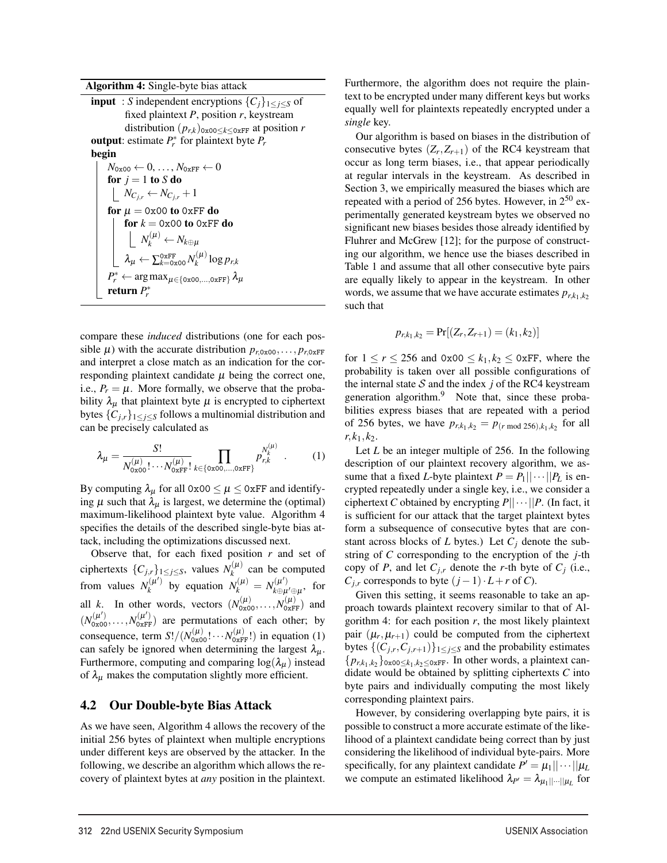Algorithm 4: Single-byte bias attack

**input** : *S* independent encryptions  $\{C_j\}_{1\leq j\leq S}$  of fixed plaintext *P*, position *r*, keystream distribution  $(p_{rk})_{0 \ge 00 \le k \le 0 \le \text{FF}}$  at position *r* output: estimate  $P_r^*$  for plaintext byte  $P_r$ begin  $N_{0x00} \leftarrow 0, \ldots, N_{0xFF} \leftarrow 0$ for  $j = 1$  to  $S$  do  $N_{C_{j,r}} \leftarrow N_{C_{j,r}} + 1$ for  $\mu = 0x00$  to 0xFF do for  $k = 0x00$  to  $0xFF$  do  $N_k^{(\mu)} \leftarrow N_{k\oplus\mu}$  $\lambda_\mu \leftarrow \sum_{k=0\text{x00}}^{0 \text{xFF}} N_k^{(\mu)} \log p_{r,k}$  $P_r^* \leftarrow \argmax_{\mu \in \{\text{ox00},...,\text{OxFF}\}} \lambda_\mu$ return *P*∗ *r*

compare these *induced* distributions (one for each possible  $\mu$ ) with the accurate distribution  $p_{r,0x00}, \ldots, p_{r,0xFF}$ and interpret a close match as an indication for the corresponding plaintext candidate  $\mu$  being the correct one, i.e.,  $P_r = \mu$ . More formally, we observe that the probability  $\lambda_{\mu}$  that plaintext byte  $\mu$  is encrypted to ciphertext bytes  ${C_{j,r}}_{1 \leq j \leq S}$  follows a multinomial distribution and can be precisely calculated as

$$
\lambda_{\mu} = \frac{S!}{N_{0x00}^{(\mu)}! \cdots N_{0xFF}^{(\mu)}} \prod_{k \in \{0x00,\dots,0xFF\}} p_{r,k}^{N_k^{(\mu)}} \quad . \tag{1}
$$

By computing  $\lambda_{\mu}$  for all 0x00  $\leq \mu \leq$  0xFF and identifying  $\mu$  such that  $\lambda_{\mu}$  is largest, we determine the (optimal) maximum-likelihood plaintext byte value. Algorithm 4 specifies the details of the described single-byte bias attack, including the optimizations discussed next.

Observe that, for each fixed position *r* and set of ciphertexts  $\{C_{j,r}\}_{1 \leq j \leq S}$ , values  $N_k^{(\mu)}$  can be computed from values  $N_k^{(\mu')}$  by equation  $N_k^{(\mu)} = N_{k \oplus \mu' \oplus \mu}^{(\mu')}$ , for all *k*. In other words, vectors  $(N_{0x00}^{(\mu)},...,N_{0xFF}^{(\mu)})$  and  $(N_{0x00}^{(\mu')},...,N_{0xFF}^{(\mu')})$  are permutations of each other; by consequence, term  $S!/(N_{0x00}^{(\mu)}! \cdots N_{0xFF}^{(\mu)})$  in equation (1) can safely be ignored when determining the largest  $\lambda_{\mu}$ . Furthermore, computing and comparing  $log(\lambda_{\mu})$  instead of  $\lambda_{\mu}$  makes the computation slightly more efficient.

### 4.2 Our Double-byte Bias Attack

As we have seen, Algorithm 4 allows the recovery of the initial 256 bytes of plaintext when multiple encryptions under different keys are observed by the attacker. In the following, we describe an algorithm which allows the recovery of plaintext bytes at *any* position in the plaintext.

8

Furthermore, the algorithm does not require the plaintext to be encrypted under many different keys but works equally well for plaintexts repeatedly encrypted under a *single* key.

Our algorithm is based on biases in the distribution of consecutive bytes  $(Z_r, Z_{r+1})$  of the RC4 keystream that occur as long term biases, i.e., that appear periodically at regular intervals in the keystream. As described in Section 3, we empirically measured the biases which are repeated with a period of 256 bytes. However, in 2<sup>50</sup> experimentally generated keystream bytes we observed no significant new biases besides those already identified by Fluhrer and McGrew [12]; for the purpose of constructing our algorithm, we hence use the biases described in Table 1 and assume that all other consecutive byte pairs are equally likely to appear in the keystream. In other words, we assume that we have accurate estimates  $p_{r,k_1,k_2}$ such that

$$
p_{r,k_1,k_2} = \Pr[(Z_r, Z_{r+1}) = (k_1, k_2)]
$$

for  $1 \le r \le 256$  and  $0 \times 00 \le k_1, k_2 \le 0 \times \text{FF}$ , where the probability is taken over all possible configurations of the internal state  $S$  and the index  $j$  of the RC4 keystream generation algorithm.<sup>9</sup> Note that, since these probabilities express biases that are repeated with a period of 256 bytes, we have  $p_{r,k_1,k_2} = p_{(r \mod 256),k_1,k_2}$  for all  $r, k_1, k_2.$ 

Let *L* be an integer multiple of 256. In the following description of our plaintext recovery algorithm, we assume that a fixed *L*-byte plaintext  $P = P_1 || \cdots || P_L$  is encrypted repeatedly under a single key, i.e., we consider a ciphertext *C* obtained by encrypting  $P|| \cdots ||P$ . (In fact, it is sufficient for our attack that the target plaintext bytes form a subsequence of consecutive bytes that are constant across blocks of  $L$  bytes.) Let  $C_i$  denote the substring of *C* corresponding to the encryption of the *j*-th copy of *P*, and let  $C_{j,r}$  denote the *r*-th byte of  $C_j$  (i.e., *C*<sub>*j*</sub>,*r* corresponds to byte  $(j - 1) \cdot L + r$  of *C*).

Given this setting, it seems reasonable to take an approach towards plaintext recovery similar to that of Algorithm 4: for each position  $r$ , the most likely plaintext pair  $(\mu_r, \mu_{r+1})$  could be computed from the ciphertext bytes  $\{(C_{j,r}, C_{j,r+1})\}_{1 \leq j \leq S}$  and the probability estimates  ${p_{r,k_1,k_2}}$ <sub>0x00≤ $k_1,k_2$ ≤0xFF. In other words, a plaintext can-</sub> didate would be obtained by splitting ciphertexts *C* into byte pairs and individually computing the most likely corresponding plaintext pairs.

However, by considering overlapping byte pairs, it is possible to construct a more accurate estimate of the likelihood of a plaintext candidate being correct than by just considering the likelihood of individual byte-pairs. More specifically, for any plaintext candidate  $P' = \mu_1 || \cdots || \mu_L$ we compute an estimated likelihood  $\lambda_{P'} = \lambda_{\mu_1 | \dots | \mu_I}$  for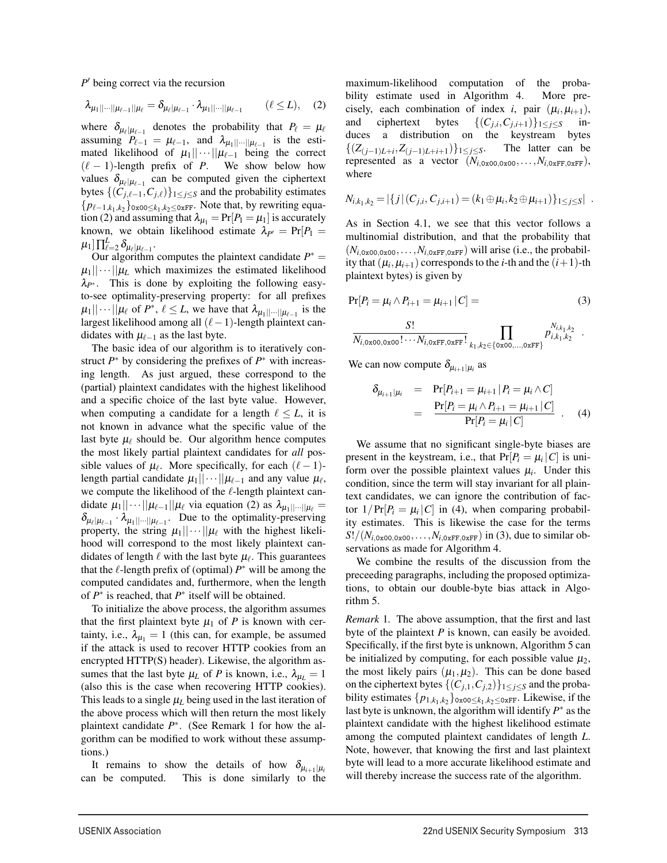*P*<sup> $\prime$ </sup> being correct via the recursion

$$
\lambda_{\mu_1||\cdots||\mu_{\ell-1}||\mu_{\ell}} = \delta_{\mu_{\ell}|\mu_{\ell-1}} \cdot \lambda_{\mu_1||\cdots||\mu_{\ell-1}} \qquad (\ell \leq L), \quad (2)
$$

where  $\delta_{\mu_{\ell}|\mu_{\ell-1}}$  denotes the probability that  $P_{\ell} = \mu_{\ell}$ assuming  $P_{\ell-1} = \mu_{\ell-1}$ , and  $\lambda_{\mu_1||\cdots||\mu_{\ell-1}}$  is the estimated likelihood of  $\mu_1||\cdots||\mu_{\ell-1}$  being the correct  $(\ell - 1)$ -length prefix of *P*. We show below how values  $\delta_{\mu_{\ell}|\mu_{\ell-1}}$  can be computed given the ciphertext bytes  $\{(C_{j,\ell-1}, C_{j,\ell})\}_{1 \leq j \leq S}$  and the probability estimates { $p_{\ell-1,k_1,k_2}$ }<sub>0x00≤ $k_1,k_2$ ≤0xFF</sub>. Note that, by rewriting equation (2) and assuming that  $\lambda_{\mu_1} = Pr[P_1 = \mu_1]$  is accurately known, we obtain likelihood estimate  $\lambda_{P'} = Pr[P_1 =$  $\mu_1]\prod_{\ell=2}^L \delta_{\mu_\ell|\mu_{\ell-1}}.$ 

Our algorithm computes the plaintext candidate *P*∗ =  $\mu_1||\cdots||\mu_L$  which maximizes the estimated likelihood λ<sub>*P*∗</sub>. This is done by exploiting the following easyto-see optimality-preserving property: for all prefixes  $|\mu_1||\cdots||\mu_\ell$  of  $P^*$ ,  $\ell \leq L$ , we have that  $\lambda_{\mu_1||\cdots||\mu_{\ell-1}}$  is the largest likelihood among all  $(\ell-1)$ -length plaintext candidates with  $\mu_{\ell-1}$  as the last byte.

The basic idea of our algorithm is to iteratively construct  $P^*$  by considering the prefixes of  $P^*$  with increasing length. As just argued, these correspond to the (partial) plaintext candidates with the highest likelihood and a specific choice of the last byte value. However, when computing a candidate for a length  $\ell \leq L$ , it is not known in advance what the specific value of the last byte  $\mu_{\ell}$  should be. Our algorithm hence computes the most likely partial plaintext candidates for *all* possible values of  $\mu_{\ell}$ . More specifically, for each  $(\ell - 1)$ length partial candidate  $\mu_1||\cdots||\mu_{\ell-1}$  and any value  $\mu_{\ell}$ , we compute the likelihood of the  $\ell$ -length plaintext candidate  $\mu_1 || \cdots || \mu_{\ell-1} || \mu_{\ell}$  via equation (2) as  $\lambda_{\mu_1 || \cdots || \mu_{\ell}} =$  $\delta_{\mu_{\ell}|\mu_{\ell-1}} \cdot \lambda_{\mu_1|\cdots||\mu_{\ell-1}}$ . Due to the optimality-preserving property, the string  $\mu_1||\cdots||\mu_\ell$  with the highest likelihood will correspond to the most likely plaintext candidates of length  $\ell$  with the last byte  $\mu_{\ell}$ . This guarantees that the  $\ell$ -length prefix of (optimal)  $P^*$  will be among the computed candidates and, furthermore, when the length of *P*∗ is reached, that *P*∗ itself will be obtained.

To initialize the above process, the algorithm assumes that the first plaintext byte  $\mu_1$  of *P* is known with certainty, i.e.,  $\lambda_{\mu_1} = 1$  (this can, for example, be assumed if the attack is used to recover HTTP cookies from an encrypted HTTP(S) header). Likewise, the algorithm assumes that the last byte  $\mu_L$  of *P* is known, i.e.,  $\lambda_{\mu} = 1$ (also this is the case when recovering HTTP cookies). This leads to a single  $\mu_L$  being used in the last iteration of the above process which will then return the most likely plaintext candidate *P*∗. (See Remark 1 for how the algorithm can be modified to work without these assumptions.)

It remains to show the details of how  $\delta_{\mu_{i+1}|\mu_i}$  can be computed. This is done similarly to the This is done similarly to the

9

maximum-likelihood computation of the probability estimate used in Algorithm 4. More precisely, each combination of index *i*, pair  $(\mu_i, \mu_{i+1})$ , and ciphertext bytes  $\{(C_{j,i}, C_{j,i+1})\}_{1 \leq j \leq S}$  induces a distribution on the keystream bytes { $(Z_{(j-1)L+i}, Z_{(j-1)L+i+1})$ }<sub>1≤*j*≤*S*</sub>. The latter can be represented as a vector  $(N_{i.0x00,0x00},...,N_{i.0xFF,0xFF}),$ where

$$
N_{i,k_1,k_2} = |\{j | (C_{j,i}, C_{j,i+1}) = (k_1 \oplus \mu_i, k_2 \oplus \mu_{i+1})\}_{1 \leq j \leq S}|.
$$

As in Section 4.1, we see that this vector follows a multinomial distribution, and that the probability that  $(N_{i,0x00,0x00},...,N_{i,0xFF,0xFF})$  will arise (i.e., the probability that  $(\mu_i, \mu_{i+1})$  corresponds to the *i*-th and the  $(i+1)$ -th plaintext bytes) is given by

$$
Pr[P_i = \mu_i \wedge P_{i+1} = \mu_{i+1} | C] = (3)
$$

$$
\frac{S!}{N_{i,0x00,0x00}! \cdots N_{i,0xFF,0xFF}!} \prod_{k_1,k_2 \in \{0x00,\ldots,0xFF\}} p_{i,k_1,k_2}^{N_{i,k_1,k_2}}.
$$

We can now compute  $\delta_{\mu_{i+1}|\mu_i}$  as

$$
\delta_{\mu_{i+1}|\mu_i} = \Pr[P_{i+1} = \mu_{i+1} | P_i = \mu_i \wedge C]
$$
  
= 
$$
\frac{\Pr[P_i = \mu_i \wedge P_{i+1} = \mu_{i+1} | C]}{\Pr[P_i = \mu_i | C]}.
$$
 (4)

We assume that no significant single-byte biases are present in the keystream, i.e., that  $Pr[P_i = \mu_i | C]$  is uniform over the possible plaintext values  $\mu_i$ . Under this condition, since the term will stay invariant for all plaintext candidates, we can ignore the contribution of factor  $1/Pr[P_i = \mu_i | C]$  in (4), when comparing probability estimates. This is likewise the case for the terms  $S!/(N_{i.0x00,0x00},\ldots,N_{i.0xFF,0xFF})$  in (3), due to similar observations as made for Algorithm 4.

We combine the results of the discussion from the preceeding paragraphs, including the proposed optimizations, to obtain our double-byte bias attack in Algorithm 5.

*Remark* 1*.* The above assumption, that the first and last byte of the plaintext *P* is known, can easily be avoided. Specifically, if the first byte is unknown, Algorithm 5 can be initialized by computing, for each possible value  $\mu_2$ , the most likely pairs  $(\mu_1, \mu_2)$ . This can be done based on the ciphertext bytes  $\{(C_{j,1}, C_{j,2})\}_{1 \leq j \leq S}$  and the probability estimates  $\{p_{1,k_1,k_2}\}_{0 \ge 0 \le k_1,k_2 \le 0 \le \text{RFF}}$ . Likewise, if the last byte is unknown, the algorithm will identify *P*∗ as the plaintext candidate with the highest likelihood estimate among the computed plaintext candidates of length *L*. Note, however, that knowing the first and last plaintext byte will lead to a more accurate likelihood estimate and will thereby increase the success rate of the algorithm.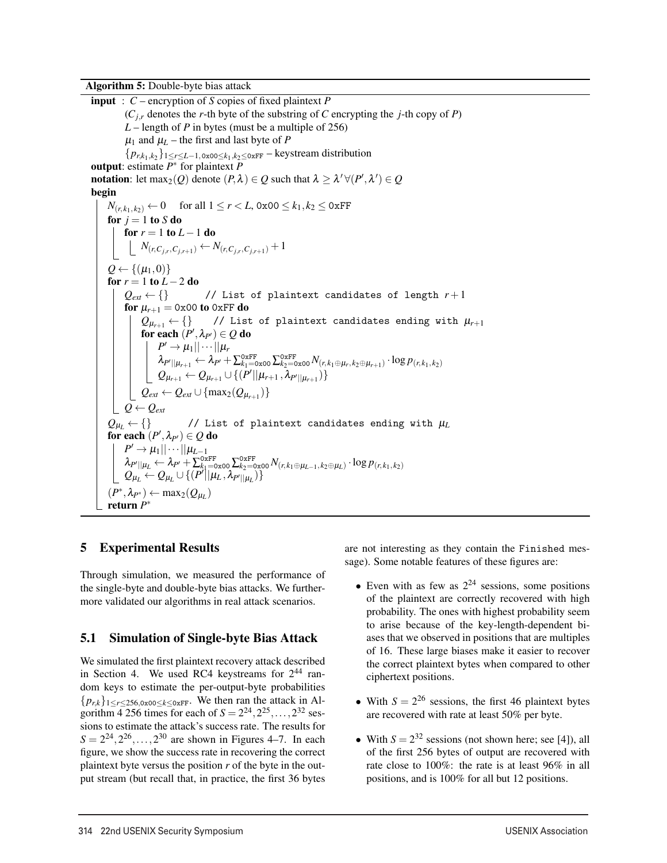Algorithm 5: Double-byte bias attack

input : *C* – encryption of *S* copies of fixed plaintext *P*  $(C<sub>i,r</sub>$  denotes the *r*-th byte of the substring of *C* encrypting the *j*-th copy of *P*) *L* – length of *P* in bytes (must be a multiple of 256)  $\mu_1$  and  $\mu_L$  – the first and last byte of *P* {*pr*,*k*1,*k*<sup>2</sup> }1≤*r*≤*L*−1,0x00≤*k*1,*k*2≤0xFF – keystream distribution output: estimate *P*∗ for plaintext *P* **notation**: let  $\max_2(Q)$  denote  $(P, \lambda) \in Q$  such that  $\lambda \geq \lambda' \forall (P', \lambda') \in Q$ begin *N*(*r*,*k*<sub>1</sub>,*k*<sub>2</sub>) ← 0 for all  $1 \le r < L$ , 0x00 ≤ *k*<sub>1</sub>, *k*<sub>2</sub> ≤ 0xFF for  $j = 1$  to *S* do for  $r = 1$  to  $L - 1$  do  $N(r, C_{j,r}, C_{j,r+1}) \leftarrow N(r, C_{j,r}, C_{j,r+1}) + 1$  $Q \leftarrow \{(\mu_1, 0)\}$ for *r* = 1 to *L* − 2 do<br> $\left| \right.$   $Q_{ext}$  ← {} // List of plaintext candidates of length  $r+1$ for  $\mu_{r+1} = 0 \times 00$  to 0xFF do  $Q_{\mu_{r+1}} \leftarrow \{\}$  // List of plaintext candidates ending with  $\mu_{r+1}$ for each  $(P', \lambda_{P'}) \in Q$  do  $P' \rightarrow \mu_1 || \cdots || \mu_r$  $\lambda_{P^{\prime}||\mu_{r+1}} \leftarrow \lambda_{P^{\prime}} + \sum_{k_1=0}^{0 \text{xFF}} \sum_{k_2=0}^{0 \text{xFF}} \lambda_{(r,k_1 \oplus \mu_r,k_2 \oplus \mu_{r+1})} \cdot \log p_{(r,k_1,k_2)}$  $Q_{\mu_{r+1}} \leftarrow Q_{\mu_{r+1}} \cup \{(P^{\prime} || \mu_{r+1}, \lambda_{P^{\prime} || \mu_{r+1}})\}$  $Q_{ext} \leftarrow Q_{ext} \cup \{\max_2(Q_{\mu_{r+1}})\}$  $Q \leftarrow Q_{ext}$  $Q_{\mu L} \leftarrow \{\}$  // List of plaintext candidates ending with  $\mu_L$ for each  $(P', \lambda_{P'}) \in Q$  do  $P' \rightarrow \mu_1 || \cdots || \mu_{L-1}$  $\lambda_{P'||\mu_L} \leftarrow \lambda_{P'} + \sum_{k_1=0}^{0xFF} \sum_{k_2=0}^{0xFF} \lambda_{k_1,k_2} N_{(r,k_1\oplus\mu_{L-1},k_2\oplus\mu_L)} \cdot \log p_{(r,k_1,k_2)}$  $Q_{\mu_L} \leftarrow Q_{\mu_L} \cup \{(P^\prime || \mu_L, \lambda_{P^\prime || \mu_L})\}$  $(P^*, \lambda_{P^*}) \leftarrow \max_2(Q_{U_L})$ return *P*∗

### 5 Experimental Results

Through simulation, we measured the performance of the single-byte and double-byte bias attacks. We furthermore validated our algorithms in real attack scenarios.

### 5.1 Simulation of Single-byte Bias Attack

We simulated the first plaintext recovery attack described in Section 4. We used RC4 keystreams for  $2^{44}$  random keys to estimate the per-output-byte probabilities  ${p_{rk}}_{1 \leq r \leq 256.0x00 \leq k \leq 0xFF}$ . We then ran the attack in Algorithm  $\overline{4}$  256 times for each of  $S = 2^{24}, 2^{25}, \ldots, 2^{32}$  sessions to estimate the attack's success rate. The results for  $S = 2^{24}, 2^{26}, \ldots, 2^{30}$  are shown in Figures 4–7. In each figure, we show the success rate in recovering the correct plaintext byte versus the position *r* of the byte in the output stream (but recall that, in practice, the first 36 bytes are not interesting as they contain the Finished message). Some notable features of these figures are:

- Even with as few as  $2^{24}$  sessions, some positions of the plaintext are correctly recovered with high probability. The ones with highest probability seem to arise because of the key-length-dependent biases that we observed in positions that are multiples of 16. These large biases make it easier to recover the correct plaintext bytes when compared to other ciphertext positions.
- With  $S = 2^{26}$  sessions, the first 46 plaintext bytes are recovered with rate at least 50% per byte.
- With  $S = 2^{32}$  sessions (not shown here; see [4]), all of the first 256 bytes of output are recovered with rate close to 100%: the rate is at least 96% in all positions, and is 100% for all but 12 positions.

 $\overline{a}$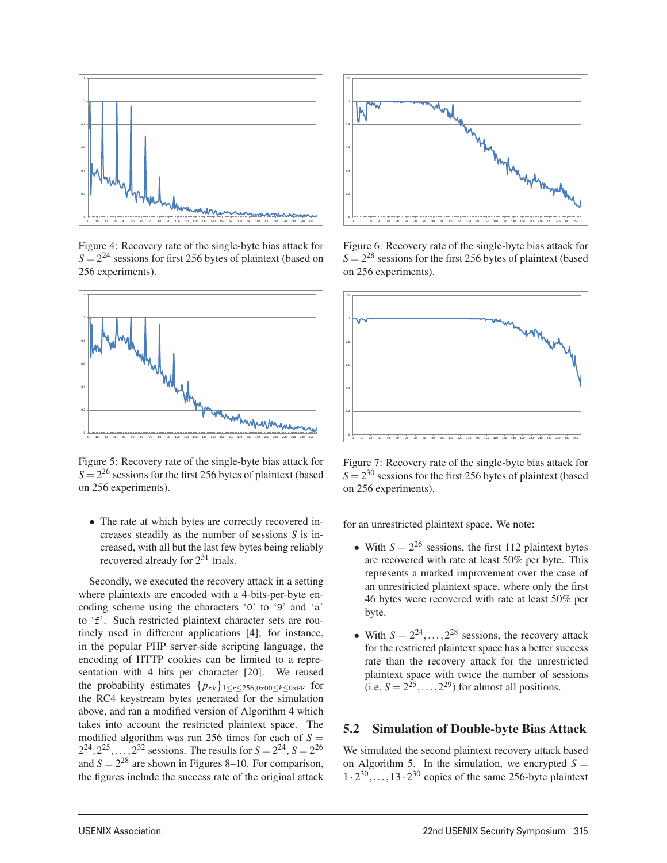

Figure 4: Recovery rate of the single-byte bias attack for  $S = 2^{24}$  sessions for first 256 bytes of plaintext (based on 256 experiments).



Figure 5: Recovery rate of the single-byte bias attack for  $S = 2^{26}$  sessions for the first 256 bytes of plaintext (based on 256 experiments).

• The rate at which bytes are correctly recovered increases steadily as the number of sessions *S* is increased, with all but the last few bytes being reliably recovered already for  $2^{31}$  trials.

Secondly, we executed the recovery attack in a setting where plaintexts are encoded with a 4-bits-per-byte encoding scheme using the characters '0' to '9' and 'a' to 'f'. Such restricted plaintext character sets are routinely used in different applications [4]; for instance, in the popular PHP server-side scripting language, the encoding of HTTP cookies can be limited to a representation with 4 bits per character [20]. We reused the probability estimates  $\{p_{r,k}\}_{1 \leq r \leq 256,0 \geq 00 \leq k \leq 0 \text{KFF}}$  for the RC4 keystream bytes generated for the simulation above, and ran a modified version of Algorithm 4 which takes into account the restricted plaintext space. The modified algorithm was run 256 times for each of  $S =$  $2^{24}$ ,  $2^{25}$ ,...,  $2^{32}$  sessions. The results for  $S = 2^{24}$ ,  $S = 2^{26}$ and  $S = 2^{28}$  are shown in Figures 8–10. For comparison, the figures include the success rate of the original attack



Figure 6: Recovery rate of the single-byte bias attack for  $S = 2^{28}$  sessions for the first 256 bytes of plaintext (based on 256 experiments).



Figure 7: Recovery rate of the single-byte bias attack for  $S = 2^{30}$  sessions for the first 256 bytes of plaintext (based on 256 experiments).

for an unrestricted plaintext space. We note:

- With  $S = 2^{26}$  sessions, the first 112 plaintext bytes are recovered with rate at least 50% per byte. This represents a marked improvement over the case of an unrestricted plaintext space, where only the first 46 bytes were recovered with rate at least 50% per byte.
- With  $S = 2^{24}, \ldots, 2^{28}$  sessions, the recovery attack for the restricted plaintext space has a better success rate than the recovery attack for the unrestricted plaintext space with twice the number of sessions (i.e.  $S = 2^{25}$ ,..., 2<sup>29</sup>) for almost all positions.

#### 5.2 Simulation of Double-byte Bias Attack

We simulated the second plaintext recovery attack based on Algorithm 5. In the simulation, we encrypted  $S =$  $1 \cdot 2^{30}$ ,..., 13  $\cdot 2^{30}$  copies of the same 256-byte plaintext

 $\overline{1}$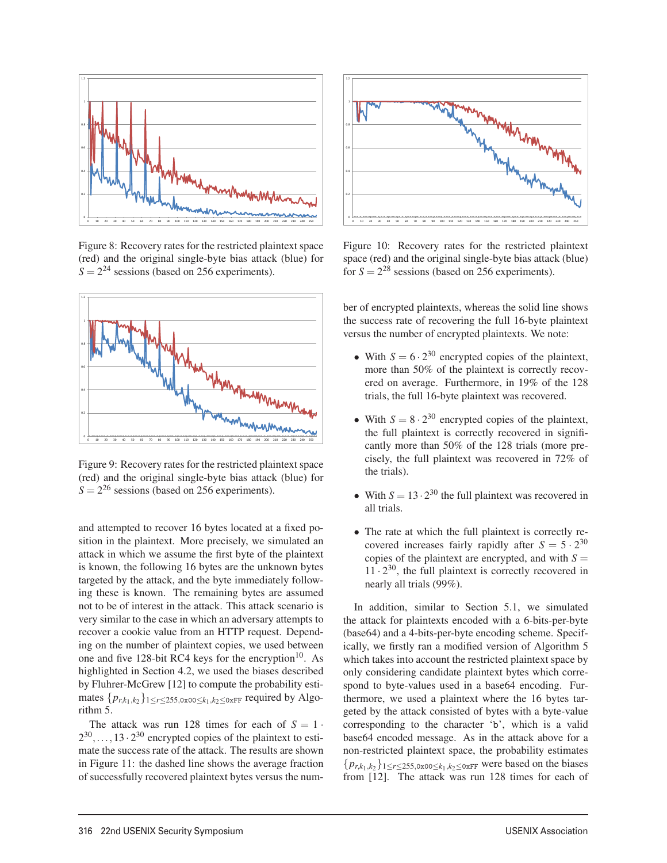

Figure 8: Recovery rates for the restricted plaintext space (red) and the original single-byte bias attack (blue) for  $S = 2^{24}$  sessions (based on 256 experiments).



Figure 9: Recovery rates for the restricted plaintext space (red) and the original single-byte bias attack (blue) for  $S = 2^{26}$  sessions (based on 256 experiments).

and attempted to recover 16 bytes located at a fixed position in the plaintext. More precisely, we simulated an attack in which we assume the first byte of the plaintext is known, the following 16 bytes are the unknown bytes targeted by the attack, and the byte immediately following these is known. The remaining bytes are assumed not to be of interest in the attack. This attack scenario is very similar to the case in which an adversary attempts to recover a cookie value from an HTTP request. Depending on the number of plaintext copies, we used between one and five 128-bit RC4 keys for the encryption $10$ . As highlighted in Section 4.2, we used the biases described by Fluhrer-McGrew [12] to compute the probability estimates  ${p_{r,k_1,k_2}}$ 1≤*r*≤255,0x00≤*k*<sub>1</sub>,*k*<sub>2</sub>≤0xFF</sub> required by Algorithm 5.

The attack was run 128 times for each of  $S = 1$ .  $2^{30}, \ldots, 13 \cdot 2^{30}$  encrypted copies of the plaintext to estimate the success rate of the attack. The results are shown in Figure 11: the dashed line shows the average fraction of successfully recovered plaintext bytes versus the num-

 $\overline{a}$ 



Figure 10: Recovery rates for the restricted plaintext space (red) and the original single-byte bias attack (blue) for  $S = 2^{28}$  sessions (based on 256 experiments).

ber of encrypted plaintexts, whereas the solid line shows the success rate of recovering the full 16-byte plaintext versus the number of encrypted plaintexts. We note:

- With  $S = 6 \cdot 2^{30}$  encrypted copies of the plaintext, more than 50% of the plaintext is correctly recovered on average. Furthermore, in 19% of the 128 trials, the full 16-byte plaintext was recovered.
- With  $S = 8 \cdot 2^{30}$  encrypted copies of the plaintext, the full plaintext is correctly recovered in significantly more than 50% of the 128 trials (more precisely, the full plaintext was recovered in 72% of the trials).
- With  $S = 13 \cdot 2^{30}$  the full plaintext was recovered in all trials.
- The rate at which the full plaintext is correctly recovered increases fairly rapidly after  $S = 5 \cdot 2^{30}$ copies of the plaintext are encrypted, and with  $S =$  $11 \cdot 2^{30}$ , the full plaintext is correctly recovered in nearly all trials (99%).

In addition, similar to Section 5.1, we simulated the attack for plaintexts encoded with a 6-bits-per-byte (base64) and a 4-bits-per-byte encoding scheme. Specifically, we firstly ran a modified version of Algorithm 5 which takes into account the restricted plaintext space by only considering candidate plaintext bytes which correspond to byte-values used in a base64 encoding. Furthermore, we used a plaintext where the 16 bytes targeted by the attack consisted of bytes with a byte-value corresponding to the character 'b', which is a valid base64 encoded message. As in the attack above for a non-restricted plaintext space, the probability estimates  ${p_{r,k_1,k_2}}_{1 \leq r \leq 255,0x00 \leq k_1,k_2 \leq 0xFF}$  were based on the biases from [12]. The attack was run 128 times for each of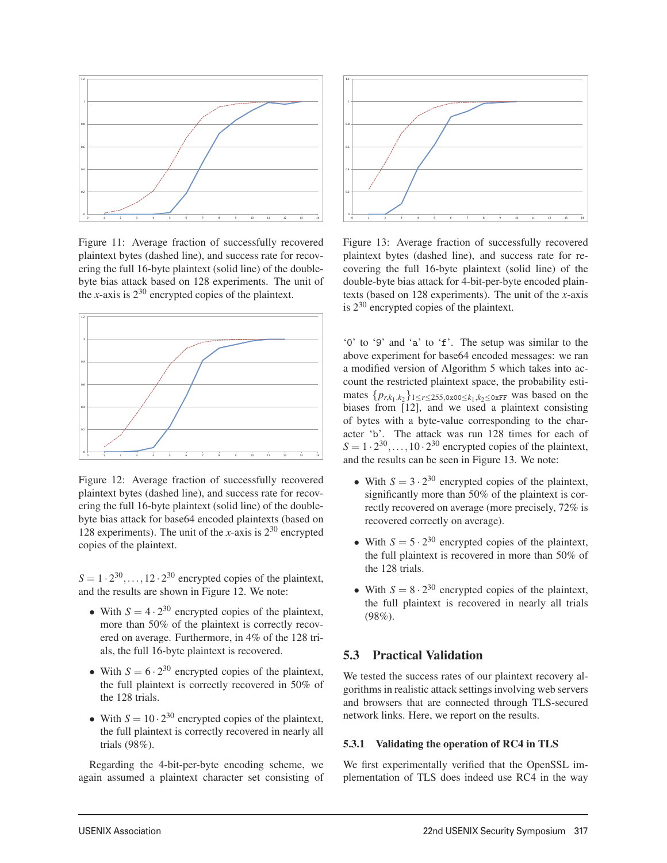

Figure 11: Average fraction of successfully recovered plaintext bytes (dashed line), and success rate for recovering the full 16-byte plaintext (solid line) of the doublebyte bias attack based on 128 experiments. The unit of the *x*-axis is  $2^{30}$  encrypted copies of the plaintext.



Figure 12: Average fraction of successfully recovered plaintext bytes (dashed line), and success rate for recovering the full 16-byte plaintext (solid line) of the doublebyte bias attack for base64 encoded plaintexts (based on 128 experiments). The unit of the *x*-axis is  $2^{30}$  encrypted copies of the plaintext.

 $S = 1 \cdot 2^{30}, \dots, 12 \cdot 2^{30}$  encrypted copies of the plaintext, and the results are shown in Figure 12. We note:

- With  $S = 4 \cdot 2^{30}$  encrypted copies of the plaintext, more than 50% of the plaintext is correctly recovered on average. Furthermore, in 4% of the 128 trials, the full 16-byte plaintext is recovered.
- With  $S = 6 \cdot 2^{30}$  encrypted copies of the plaintext, the full plaintext is correctly recovered in 50% of the 128 trials.
- With  $S = 10 \cdot 2^{30}$  encrypted copies of the plaintext, the full plaintext is correctly recovered in nearly all trials (98%).

Regarding the 4-bit-per-byte encoding scheme, we again assumed a plaintext character set consisting of



Figure 13: Average fraction of successfully recovered plaintext bytes (dashed line), and success rate for recovering the full 16-byte plaintext (solid line) of the double-byte bias attack for 4-bit-per-byte encoded plaintexts (based on 128 experiments). The unit of the *x*-axis is  $2^{30}$  encrypted copies of the plaintext.

'0' to '9' and 'a' to 'f'. The setup was similar to the above experiment for base64 encoded messages: we ran a modified version of Algorithm 5 which takes into account the restricted plaintext space, the probability estimates  ${p_{r,k_1,k_2}}$  1≤*r*≤255,0x00≤*k*<sub>1</sub>,*k*<sub>2</sub>≤0xFF</sub> was based on the biases from  $\begin{bmatrix} 12 \end{bmatrix}$ , and we used a plaintext consisting of bytes with a byte-value corresponding to the character 'b'. The attack was run 128 times for each of  $S = 1 \cdot 2^{30}, \ldots, 10 \cdot 2^{30}$  encrypted copies of the plaintext, and the results can be seen in Figure 13. We note:

- With  $S = 3 \cdot 2^{30}$  encrypted copies of the plaintext, significantly more than 50% of the plaintext is correctly recovered on average (more precisely, 72% is recovered correctly on average).
- With  $S = 5 \cdot 2^{30}$  encrypted copies of the plaintext, the full plaintext is recovered in more than 50% of the 128 trials.
- With  $S = 8 \cdot 2^{30}$  encrypted copies of the plaintext, the full plaintext is recovered in nearly all trials (98%).

## 5.3 Practical Validation

 $\overline{a}$ 

We tested the success rates of our plaintext recovery algorithms in realistic attack settings involving web servers and browsers that are connected through TLS-secured network links. Here, we report on the results.

#### 5.3.1 Validating the operation of RC4 in TLS

We first experimentally verified that the OpenSSL implementation of TLS does indeed use RC4 in the way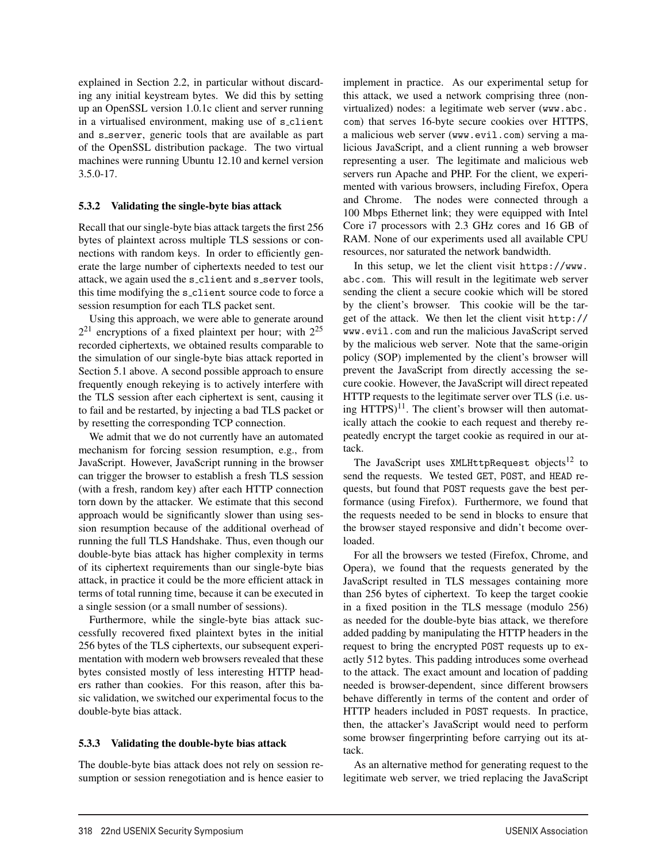explained in Section 2.2, in particular without discarding any initial keystream bytes. We did this by setting up an OpenSSL version 1.0.1c client and server running in a virtualised environment, making use of s\_client and s\_server, generic tools that are available as part of the OpenSSL distribution package. The two virtual machines were running Ubuntu 12.10 and kernel version 3.5.0-17.

#### 5.3.2 Validating the single-byte bias attack

Recall that our single-byte bias attack targets the first 256 bytes of plaintext across multiple TLS sessions or connections with random keys. In order to efficiently generate the large number of ciphertexts needed to test our attack, we again used the s\_client and s\_server tools, this time modifying the s client source code to force a session resumption for each TLS packet sent.

Using this approach, we were able to generate around  $2^{21}$  encryptions of a fixed plaintext per hour; with  $2^{25}$ recorded ciphertexts, we obtained results comparable to the simulation of our single-byte bias attack reported in Section 5.1 above. A second possible approach to ensure frequently enough rekeying is to actively interfere with the TLS session after each ciphertext is sent, causing it to fail and be restarted, by injecting a bad TLS packet or by resetting the corresponding TCP connection.

We admit that we do not currently have an automated mechanism for forcing session resumption, e.g., from JavaScript. However, JavaScript running in the browser can trigger the browser to establish a fresh TLS session (with a fresh, random key) after each HTTP connection torn down by the attacker. We estimate that this second approach would be significantly slower than using session resumption because of the additional overhead of running the full TLS Handshake. Thus, even though our double-byte bias attack has higher complexity in terms of its ciphertext requirements than our single-byte bias attack, in practice it could be the more efficient attack in terms of total running time, because it can be executed in a single session (or a small number of sessions).

Furthermore, while the single-byte bias attack successfully recovered fixed plaintext bytes in the initial 256 bytes of the TLS ciphertexts, our subsequent experimentation with modern web browsers revealed that these bytes consisted mostly of less interesting HTTP headers rather than cookies. For this reason, after this basic validation, we switched our experimental focus to the double-byte bias attack.

### 5.3.3 Validating the double-byte bias attack

The double-byte bias attack does not rely on session resumption or session renegotiation and is hence easier to

 $\overline{1}$ 

implement in practice. As our experimental setup for this attack, we used a network comprising three (nonvirtualized) nodes: a legitimate web server (www.abc. com) that serves 16-byte secure cookies over HTTPS, a malicious web server (www.evil.com) serving a malicious JavaScript, and a client running a web browser representing a user. The legitimate and malicious web servers run Apache and PHP. For the client, we experimented with various browsers, including Firefox, Opera and Chrome. The nodes were connected through a 100 Mbps Ethernet link; they were equipped with Intel Core i7 processors with 2.3 GHz cores and 16 GB of RAM. None of our experiments used all available CPU resources, nor saturated the network bandwidth.

In this setup, we let the client visit https://www. abc.com. This will result in the legitimate web server sending the client a secure cookie which will be stored by the client's browser. This cookie will be the target of the attack. We then let the client visit http:// www.evil.com and run the malicious JavaScript served by the malicious web server. Note that the same-origin policy (SOP) implemented by the client's browser will prevent the JavaScript from directly accessing the secure cookie. However, the JavaScript will direct repeated HTTP requests to the legitimate server over TLS (i.e. using  $HTTPS$ <sup>11</sup>. The client's browser will then automatically attach the cookie to each request and thereby repeatedly encrypt the target cookie as required in our attack.

The JavaScript uses XMLHttpRequest objects<sup>12</sup> to send the requests. We tested GET, POST, and HEAD requests, but found that POST requests gave the best performance (using Firefox). Furthermore, we found that the requests needed to be send in blocks to ensure that the browser stayed responsive and didn't become overloaded.

For all the browsers we tested (Firefox, Chrome, and Opera), we found that the requests generated by the JavaScript resulted in TLS messages containing more than 256 bytes of ciphertext. To keep the target cookie in a fixed position in the TLS message (modulo 256) as needed for the double-byte bias attack, we therefore added padding by manipulating the HTTP headers in the request to bring the encrypted POST requests up to exactly 512 bytes. This padding introduces some overhead to the attack. The exact amount and location of padding needed is browser-dependent, since different browsers behave differently in terms of the content and order of HTTP headers included in POST requests. In practice, then, the attacker's JavaScript would need to perform some browser fingerprinting before carrying out its attack.

As an alternative method for generating request to the legitimate web server, we tried replacing the JavaScript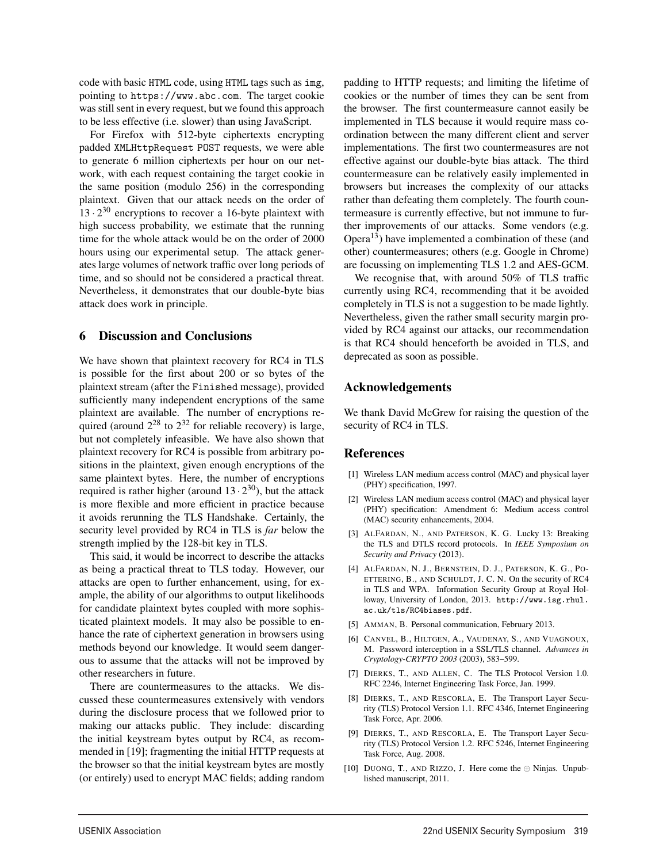code with basic HTML code, using HTML tags such as img, pointing to https://www.abc.com. The target cookie was still sent in every request, but we found this approach to be less effective (i.e. slower) than using JavaScript.

For Firefox with 512-byte ciphertexts encrypting padded XMLHttpRequest POST requests, we were able to generate 6 million ciphertexts per hour on our network, with each request containing the target cookie in the same position (modulo 256) in the corresponding plaintext. Given that our attack needs on the order of  $13 \cdot 2^{30}$  encryptions to recover a 16-byte plaintext with high success probability, we estimate that the running time for the whole attack would be on the order of 2000 hours using our experimental setup. The attack generates large volumes of network traffic over long periods of time, and so should not be considered a practical threat. Nevertheless, it demonstrates that our double-byte bias attack does work in principle.

### 6 Discussion and Conclusions

We have shown that plaintext recovery for RC4 in TLS is possible for the first about 200 or so bytes of the plaintext stream (after the Finished message), provided sufficiently many independent encryptions of the same plaintext are available. The number of encryptions required (around  $2^{28}$  to  $2^{32}$  for reliable recovery) is large, but not completely infeasible. We have also shown that plaintext recovery for RC4 is possible from arbitrary positions in the plaintext, given enough encryptions of the same plaintext bytes. Here, the number of encryptions required is rather higher (around  $13 \cdot 2^{30}$ ), but the attack is more flexible and more efficient in practice because it avoids rerunning the TLS Handshake. Certainly, the security level provided by RC4 in TLS is *far* below the strength implied by the 128-bit key in TLS.

This said, it would be incorrect to describe the attacks as being a practical threat to TLS today. However, our attacks are open to further enhancement, using, for example, the ability of our algorithms to output likelihoods for candidate plaintext bytes coupled with more sophisticated plaintext models. It may also be possible to enhance the rate of ciphertext generation in browsers using methods beyond our knowledge. It would seem dangerous to assume that the attacks will not be improved by other researchers in future.

There are countermeasures to the attacks. We discussed these countermeasures extensively with vendors during the disclosure process that we followed prior to making our attacks public. They include: discarding the initial keystream bytes output by RC4, as recommended in [19]; fragmenting the initial HTTP requests at the browser so that the initial keystream bytes are mostly (or entirely) used to encrypt MAC fields; adding random

padding to HTTP requests; and limiting the lifetime of cookies or the number of times they can be sent from the browser. The first countermeasure cannot easily be implemented in TLS because it would require mass coordination between the many different client and server implementations. The first two countermeasures are not effective against our double-byte bias attack. The third countermeasure can be relatively easily implemented in browsers but increases the complexity of our attacks rather than defeating them completely. The fourth countermeasure is currently effective, but not immune to further improvements of our attacks. Some vendors (e.g. Opera<sup>13</sup>) have implemented a combination of these (and other) countermeasures; others (e.g. Google in Chrome) are focussing on implementing TLS 1.2 and AES-GCM.

We recognise that, with around 50% of TLS traffic currently using RC4, recommending that it be avoided completely in TLS is not a suggestion to be made lightly. Nevertheless, given the rather small security margin provided by RC4 against our attacks, our recommendation is that RC4 should henceforth be avoided in TLS, and deprecated as soon as possible.

### Acknowledgements

We thank David McGrew for raising the question of the security of RC4 in TLS.

#### References

 $\overline{1}$ 

- [1] Wireless LAN medium access control (MAC) and physical layer (PHY) specification, 1997.
- [2] Wireless LAN medium access control (MAC) and physical layer (PHY) specification: Amendment 6: Medium access control (MAC) security enhancements, 2004.
- [3] ALFARDAN, N., AND PATERSON, K. G. Lucky 13: Breaking the TLS and DTLS record protocols. In *IEEE Symposium on Security and Privacy* (2013).
- [4] ALFARDAN, N. J., BERNSTEIN, D. J., PATERSON, K. G., PO-ETTERING, B., AND SCHULDT, J. C. N. On the security of RC4 in TLS and WPA. Information Security Group at Royal Holloway, University of London, 2013. http://www.isg.rhul. ac.uk/tls/RC4biases.pdf.
- [5] AMMAN, B. Personal communication, February 2013.
- [6] CANVEL, B., HILTGEN, A., VAUDENAY, S., AND VUAGNOUX, M. Password interception in a SSL/TLS channel. *Advances in Cryptology-CRYPTO 2003* (2003), 583–599.
- [7] DIERKS, T., AND ALLEN, C. The TLS Protocol Version 1.0. RFC 2246, Internet Engineering Task Force, Jan. 1999.
- [8] DIERKS, T., AND RESCORLA, E. The Transport Layer Security (TLS) Protocol Version 1.1. RFC 4346, Internet Engineering Task Force, Apr. 2006.
- [9] DIERKS, T., AND RESCORLA, E. The Transport Layer Security (TLS) Protocol Version 1.2. RFC 5246, Internet Engineering Task Force, Aug. 2008.
- [10] DUONG, T., AND RIZZO, J. Here come the  $\oplus$  Ninjas. Unpublished manuscript, 2011.